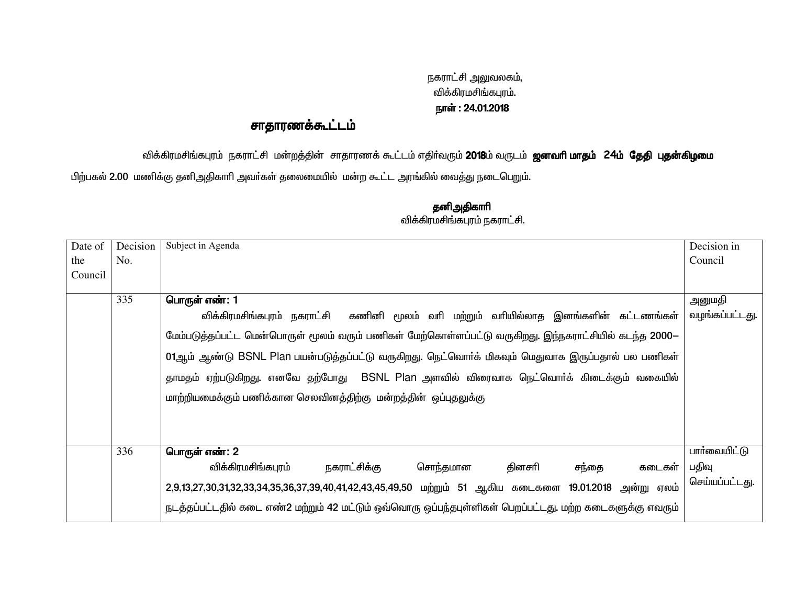## நகராட்சி அலுவலகம், விக்கிரமசிங்கபுரம். நாள் : 24.01.2018

## சாதாரணக்கூட்டம்

விக்கிரமசிங்கபுரம் நகராட்சி மன்றத்தின் சாதாரணக் கூட்டம் எதிர்வரும் **2018**ம் வருடம் **ஜனவரி மாதம் 24ம் தேதி புதன்கிழமை** 

பிற்பகல் 2.00 மணிக்கு தனிஅதிகாரி அவர்கள் தலைமையில் மன்ற கூட்ட அரங்கில் வைத்து நடைபெறும்.

| Date of | Decision | Subject in Agenda                                                                                                        | Decision in    |  |  |  |  |  |  |  |
|---------|----------|--------------------------------------------------------------------------------------------------------------------------|----------------|--|--|--|--|--|--|--|
| the     | No.      |                                                                                                                          | Council        |  |  |  |  |  |  |  |
| Council |          |                                                                                                                          |                |  |  |  |  |  |  |  |
|         |          |                                                                                                                          |                |  |  |  |  |  |  |  |
|         | 335      | பொருள் எண்: 1                                                                                                            | அனுமதி         |  |  |  |  |  |  |  |
|         |          | கணினி மூலம் வரி மற்றும் வரியில்லாத இனங்களின் கட்டணங்கள்<br>விக்கிரமசிங்கபுரம் நகராட்சி                                   | வழங்கப்பட்டது. |  |  |  |  |  |  |  |
|         |          | மேம்படுத்தப்பட்ட மென்பொருள் மூலம் வரும் பணிகள் மேற்கொள்ளப்பட்டு வருகிறது. இந்நகராட்சியில் கடந்த 2000—                    |                |  |  |  |  |  |  |  |
|         |          | 01ஆம் ஆண்டு BSNL Plan பயன்படுத்தப்பட்டு வருகிறது. நெட்வொர்க் மிகவும் மெதுவாக இருப்பதால் பல பணிகள்                        |                |  |  |  |  |  |  |  |
|         |          | தாமதம் ஏற்படுகிறது. எனவே தற்போது   BSNL Plan அளவில் விரைவாக நெட்வொர்க் கிடைக்கும் வகையில்                                |                |  |  |  |  |  |  |  |
|         |          | மாற்றியமைக்கும் பணிக்கான செலவினத்திற்கு மன்றத்தின் ஒப்புதலுக்கு                                                          |                |  |  |  |  |  |  |  |
|         |          |                                                                                                                          |                |  |  |  |  |  |  |  |
|         |          |                                                                                                                          |                |  |  |  |  |  |  |  |
|         | 336      | பொருள் எண்: 2                                                                                                            | பார்வையிட்டு   |  |  |  |  |  |  |  |
|         |          | விக்கிரமசிங்கபுரம்<br>நகராட்சிக்கு<br>சொந்தமான<br>தினசரி<br>சந்தை<br>கடைகள்                                              | பதிவு          |  |  |  |  |  |  |  |
|         |          | செய்யப்பட்டது.<br>2,9,13,27,30,31,32,33,34,35,36,37,39,40,41,42,43,45,49,50 மற்றும் 51 ஆகிய கடைகளை 19.01.2018 அன்று ஏலம் |                |  |  |  |  |  |  |  |
|         |          | நடத்தப்பட்டதில் கடை எண்2 மற்றும் 42 மட்டும் ஒவ்வொரு ஒப்பந்தபுள்ளிகள் பெறப்பட்டது. மற்ற கடைகளுக்கு எவரும்                 |                |  |  |  |  |  |  |  |

## தனிஅதிகாரி .<br>விக்கிரமசிங்கபுரம் நகராட்சி.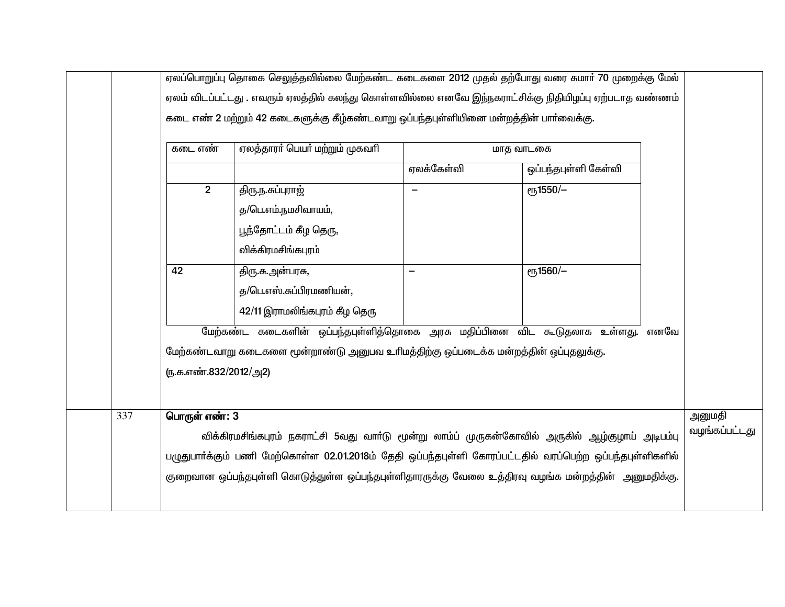|     | ஏலப்பொறுப்பு தொகை செலுத்தவில்லை மேற்கண்ட கடைகளை 2012 முதல் தற்போது வரை சுமார் 70 முறைக்கு மேல்           |                                                                                      |                          |                      |  |                         |  |  |
|-----|----------------------------------------------------------------------------------------------------------|--------------------------------------------------------------------------------------|--------------------------|----------------------|--|-------------------------|--|--|
|     | ஏலம் விடப்பட்டது . எவரும் ஏலத்தில் கலந்து கொள்ளவில்லை எனவே இந்நகராட்சிக்கு நிதியிழப்பு ஏற்படாத வண்ணம்    |                                                                                      |                          |                      |  |                         |  |  |
|     | கடை எண் 2 மற்றும் 42 கடைகளுக்கு கீழ்கண்டவாறு ஒப்பந்தபுள்ளியினை மன்றத்தின் பார்வைக்கு.                    |                                                                                      |                          |                      |  |                         |  |  |
|     |                                                                                                          |                                                                                      |                          |                      |  |                         |  |  |
|     | கடை எண்                                                                                                  | ஏலத்தாரா் பெயா் மற்றும் முகவாி                                                       |                          | மாத வாடகை            |  |                         |  |  |
|     |                                                                                                          |                                                                                      | ஏலக்கேள்வி               | ஒப்பந்தபுள்ளி கேள்வி |  |                         |  |  |
|     | $2^{\circ}$                                                                                              | திரு.ந.சுப்புரா <u>ஜ்</u>                                                            | $\overline{\phantom{m}}$ | еҧ1550/-             |  |                         |  |  |
|     |                                                                                                          | த/பெ.எம்.நமசிவாயம்,                                                                  |                          |                      |  |                         |  |  |
|     |                                                                                                          | பூந்தோட்டம் கீழ தெரு,                                                                |                          |                      |  |                         |  |  |
|     |                                                                                                          | விக்கிரமசிங்கபுரம்                                                                   |                          |                      |  |                         |  |  |
|     | 42                                                                                                       | திரு.சு.அன்பரசு,                                                                     |                          | еҧ1560/-             |  |                         |  |  |
|     |                                                                                                          | த/பெ.எஸ்.சுப்பிரமணியன்,                                                              |                          |                      |  |                         |  |  |
|     |                                                                                                          | 42/11 இராமலிங்கபுரம் கீழ தெரு                                                        |                          |                      |  |                         |  |  |
|     |                                                                                                          | மேற்கண்ட கடைகளின் ஒப்பந்தபுள்ளித்தொகை அரசு மதிப்பினை விட கூடுதலாக உள்ளது. எனவே       |                          |                      |  |                         |  |  |
|     |                                                                                                          |                                                                                      |                          |                      |  |                         |  |  |
|     |                                                                                                          | மேற்கண்டவாறு கடைகளை மூன்றாண்டு அனுபவ உரிமத்திற்கு ஒப்படைக்க மன்றத்தின் ஒப்புதலுக்கு. |                          |                      |  |                         |  |  |
|     | (ந.க.எண்.832/2012/அ2)                                                                                    |                                                                                      |                          |                      |  |                         |  |  |
|     |                                                                                                          |                                                                                      |                          |                      |  |                         |  |  |
| 337 | பொருள் எண்: 3                                                                                            |                                                                                      |                          |                      |  | அனுமதி<br>வழங்கப்பட்டது |  |  |
|     | விக்கிரமசிங்கபுரம் நகராட்சி 5வது வாா்டு மூன்று லாம்ப் முருகன்கோவில் அருகில் ஆழ்குழாய் அடிபம்பு           |                                                                                      |                          |                      |  |                         |  |  |
|     | பழுதுபாா்க்கும் பணி மேற்கொள்ள 02.01.2018ம் தேதி ஒப்பந்தபுள்ளி கோரப்பட்டதில் வரப்பெற்ற ஒப்பந்தபுள்ளிகளில் |                                                                                      |                          |                      |  |                         |  |  |
|     | குறைவான ஒப்பந்தபுள்ளி கொடுத்துள்ள ஒப்பந்தபுள்ளிதாரருக்கு வேலை உத்திரவு வழங்க மன்றத்தின்  அனுமதிக்கு.     |                                                                                      |                          |                      |  |                         |  |  |
|     |                                                                                                          |                                                                                      |                          |                      |  |                         |  |  |
|     |                                                                                                          |                                                                                      |                          |                      |  |                         |  |  |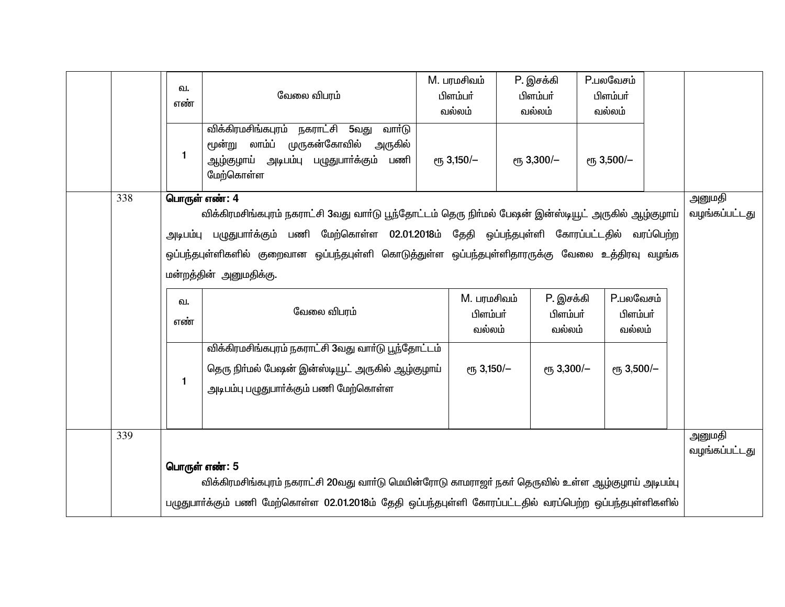|     | வ.<br>எண் | வேலை விபரம்<br>விக்கிரமசிங்கபுரம்<br>நகராட்சி 5வது<br>வார்டு                                                                                                                                                                                                                                                                                                                    | M. பரமசிவம்<br>பிளம்பர்<br>வல்லம் | P. இசக்கி<br>பிளம்பர்<br>வல்லம் | <b>P.பலவேசம்</b><br>பிளம்பர்<br>வல்லம் |  |                         |  |
|-----|-----------|---------------------------------------------------------------------------------------------------------------------------------------------------------------------------------------------------------------------------------------------------------------------------------------------------------------------------------------------------------------------------------|-----------------------------------|---------------------------------|----------------------------------------|--|-------------------------|--|
|     | 1         | முருகன்கோவில்<br>மூன்று லாம்ப்<br>அருகில்<br>ஆழ்குழாய் அடிபம்பு பழுதுபாா்க்கும் பணி<br>மேற்கொள்ள                                                                                                                                                                                                                                                                                | $e$ гђ 3,150/-                    | <sub>е</sub> 3,300/-            | $e$ гђ 3,500/-                         |  |                         |  |
| 338 |           | பொருள் எண்: 4<br>அனுமதி<br>வழங்கப்பட்டது<br>விக்கிரமசிங்கபுரம் நகராட்சி 3வது வார்டு பூந்தோட்டம் தெரு நிர்மல் பேஷன் இன்ஸ்டியூட் அருகில் ஆழ்குழாய்<br>அடிபம்பு பழுதுபாா்க்கும் பணி மேற்கொள்ள 02.01.2018ம் தேதி ஒப்பந்தபுள்ளி கோரப்பட்டதில் வரப்பெற்ற<br>ஒப்பந்தபுள்ளிகளில் குறைவான ஒப்பந்தபுள்ளி கொடுத்துள்ள ஒப்பந்தபுள்ளிதாரருக்கு வேலை உத்திரவு வழங்க<br>மன்றத்தின் அனுமதிக்கு. |                                   |                                 |                                        |  |                         |  |
|     | ഖ.<br>எண் | வேலை விபரம்                                                                                                                                                                                                                                                                                                                                                                     | M. பரமசிவம்<br>பிளம்பா்<br>வல்லம் | P. இசக்கி<br>பிளம்பர்<br>வல்லம் | <b>P.பலவேசம்</b><br>பிளம்பர்<br>வல்லம் |  |                         |  |
|     | 1         | விக்கிரமசிங்கபுரம் நகராட்சி 3வது வார்டு பூந்தோட்டம்<br>தெரு நிா்மல் பேஷன் இன்ஸ்டியூட் அருகில் ஆழ்குழாய்<br>அடிபம்பு பழுதுபாா்க்கும் பணி மேற்கொள்ள                                                                                                                                                                                                                               | $e$ гђ 3,150/-                    | $e$ гђ 3,300/-                  | $e$ гђ 3,500/-                         |  |                         |  |
| 339 |           | பொருள் எண்: 5<br>விக்கிரமசிங்கபுரம் நகராட்சி 20வது வார்டு மெயின்ரோடு காமராஜர் நகர் தெருவில் உள்ள ஆழ்குழாய் அடிபம்பு<br>பழுதுபாா்க்கும் பணி மேற்கொள்ள 02.01.2018ம் தேதி ஒப்பந்தபுள்ளி கோரப்பட்டதில் வரப்பெற்ற ஒப்பந்தபுள்ளிகளில்                                                                                                                                                 |                                   |                                 |                                        |  | அனுமதி<br>வழங்கப்பட்டது |  |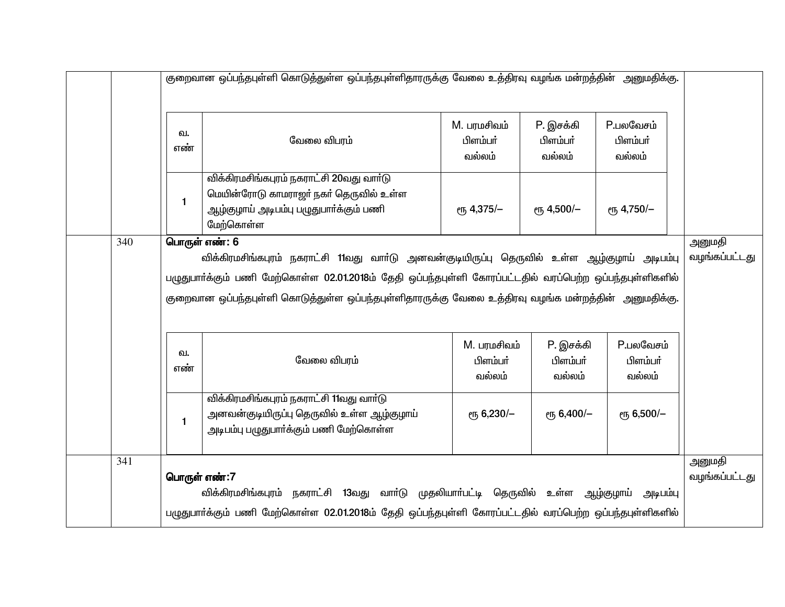|                                                                                                                                                                                                                                                                                                                                         | குறைவான ஒப்பந்தபுள்ளி கொடுத்துள்ள ஒப்பந்தபுள்ளிதாரருக்கு வேலை உத்திரவு வழங்க மன்றத்தின் அனுமதிக்கு.                                                                                                                  |                                                                                                                                           |                                   |                                 |                                        |  |  |
|-----------------------------------------------------------------------------------------------------------------------------------------------------------------------------------------------------------------------------------------------------------------------------------------------------------------------------------------|----------------------------------------------------------------------------------------------------------------------------------------------------------------------------------------------------------------------|-------------------------------------------------------------------------------------------------------------------------------------------|-----------------------------------|---------------------------------|----------------------------------------|--|--|
|                                                                                                                                                                                                                                                                                                                                         | வ.<br>எண்                                                                                                                                                                                                            | வேலை விபரம்                                                                                                                               | M. பரமசிவம்<br>பிளம்பர்<br>வல்லம் | P. இசக்கி<br>பிளம்பர்<br>வல்லம் | <b>P.பலவேசம்</b><br>பிளம்பர்<br>வல்லம் |  |  |
|                                                                                                                                                                                                                                                                                                                                         | $\mathbf{1}$                                                                                                                                                                                                         | விக்கிரமசிங்கபுரம் நகராட்சி 20வது வார்டு<br>மெயின்ரோடு காமராஜா் நகா் தெருவில் உள்ள<br>ஆழ்குழாய் அடிபம்பு பழுதுபார்க்கும் பணி<br>மேற்கொள்ள | <sub>е</sub> 4,375/-              | ет <sub>5</sub> 4,500/-         | ет, 4,750/-                            |  |  |
| 340<br>பொருள் எண்: 6<br>விக்கிரமசிங்கபுரம் நகராட்சி 11வது வாா்டு அனவன்குடியிருப்பு தெருவில் உள்ள ஆழ்குழாய் அடிபம்பு<br>பழுதுபாா்க்கும் பணி மேற்கொள்ள 02.01.2018ம் தேதி ஒப்பந்தபுள்ளி கோரப்பட்டதில் வரப்பெற்ற ஒப்பந்தபுள்ளிகளில்<br>குறைவான ஒப்பந்தபுள்ளி கொடுத்துள்ள ஒப்பந்தபுள்ளிதாரருக்கு வேலை உத்திரவு வழங்க மன்றத்தின்  அனுமதிக்கு. |                                                                                                                                                                                                                      |                                                                                                                                           |                                   |                                 |                                        |  |  |
|                                                                                                                                                                                                                                                                                                                                         | வ.<br>எண்                                                                                                                                                                                                            | வேலை விபரம்                                                                                                                               | M. பரமசிவம்<br>பிளம்பர்<br>வல்லம் | P. இசக்கி<br>பிளம்பர்<br>வல்லம் | P.பலவேசம்<br>பிளம்பர்<br>வல்லம்        |  |  |
|                                                                                                                                                                                                                                                                                                                                         | 1                                                                                                                                                                                                                    | விக்கிரமசிங்கபுரம் நகராட்சி 11வது வார்டு<br>அனவன்குடியிருப்பு தெருவில் உள்ள ஆழ்குழாய்<br>அடிபம்பு பழுதுபாா்க்கும் பணி மேற்கொள்ள           | $e$ гђ 6,230/-                    | ет <sub>5</sub> 6,400/-         | ет <sub>5</sub> 6,500/-                |  |  |
| 341                                                                                                                                                                                                                                                                                                                                     | பொருள் எண்:7<br>விக்கிரமசிங்கபுரம் நகராட்சி 13வது வாா்டு முதலியாா்பட்டி தெருவில் உள்ள ஆழ்குழாய் அடிபம்பு<br>பழுதுபார்க்கும் பணி மேற்கொள்ள 02.01.2018ம் தேதி ஒப்பந்தபுள்ளி கோரப்பட்டதில் வரப்பெற்ற ஒப்பந்தபுள்ளிகளில் |                                                                                                                                           |                                   |                                 |                                        |  |  |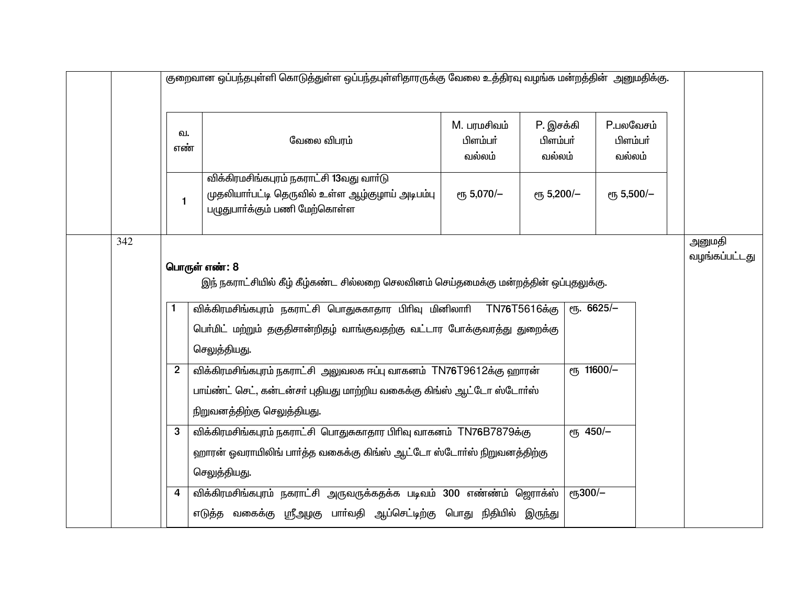|                                                                                                                                                                                                                                                                                            | குறைவான ஒப்பந்தபுள்ளி கொடுத்துள்ள ஒப்பந்தபுள்ளிதாரருக்கு வேலை உத்திரவு வழங்க மன்றத்தின் அனுமதிக்கு.                                                                                                                         |                                                                                                                                                              |                                   |                                 |                                        |  |  |  |
|--------------------------------------------------------------------------------------------------------------------------------------------------------------------------------------------------------------------------------------------------------------------------------------------|-----------------------------------------------------------------------------------------------------------------------------------------------------------------------------------------------------------------------------|--------------------------------------------------------------------------------------------------------------------------------------------------------------|-----------------------------------|---------------------------------|----------------------------------------|--|--|--|
|                                                                                                                                                                                                                                                                                            | ഖ.<br>எண்                                                                                                                                                                                                                   | வேலை விபரம்                                                                                                                                                  | M. பரமசிவம்<br>பிளம்பர்<br>வல்லம் | P. இசக்கி<br>பிளம்பர்<br>வல்லம் | <b>P.பலவேசம்</b><br>பிளம்பர்<br>வல்லம் |  |  |  |
|                                                                                                                                                                                                                                                                                            | $\mathbf{1}$                                                                                                                                                                                                                | விக்கிரமசிங்கபுரம் நகராட்சி 13வது வார்டு<br>முதலியாா்பட்டி தெருவில் உள்ள ஆழ்குழாய் அடிபம்பு<br>பழுதுபாா்க்கும் பணி மேற்கொள்ள                                 | ет, 5,070/-                       | ет, 5,200/-                     | ет, 5,500/-                            |  |  |  |
| 342<br>பொருள் எண்: 8<br>இந் நகராட்சியில் கீழ் கீழ்கண்ட சில்லறை செலவினம் செய்தமைக்கு மன்றத்தின் ஒப்புதலுக்கு.<br>விக்கிரமசிங்கபுரம் நகராட்சி பொதுசுகாதார பிரிவு மினிலாரி TN76T5616க்கு<br>$\sqrt{10}$ . 6625/-<br>பெர்மிட் மற்றும் தகுதிசான்றிதழ் வாங்குவதற்கு வட்டார போக்குவரத்து துறைக்கு |                                                                                                                                                                                                                             |                                                                                                                                                              |                                   |                                 |                                        |  |  |  |
|                                                                                                                                                                                                                                                                                            | செலுத்தியது.<br>ет, 11600/-<br>விக்கிரமசிங்கபுரம் நகராட்சி அலுவலக ஈப்பு வாகனம் TN76T9612க்கு ஹாரன்<br>$\mathbf{2}$<br>பாய்ண்ட் செட், கன்டன்சா் புதியது மாற்றிய வகைக்கு கிங்ஸ் ஆட்டோ ஸ்டோா்ஸ்<br>நிறுவனத்திற்கு செலுத்தியது. |                                                                                                                                                              |                                   |                                 |                                        |  |  |  |
|                                                                                                                                                                                                                                                                                            | 3                                                                                                                                                                                                                           | விக்கிரமசிங்கபுரம் நகராட்சி பொதுசுகாதார பிரிவு வாகனம் TN76B7879க்கு<br>ஹாரன் ஓவராயிலிங் பார்த்த வகைக்கு கிங்ஸ் ஆட்டோ ஸ்டோர்ஸ் நிறுவனத்திற்கு<br>செலுத்தியது. |                                   | ет <sub>5</sub> 450/-           |                                        |  |  |  |
|                                                                                                                                                                                                                                                                                            | 4                                                                                                                                                                                                                           | விக்கிரமசிங்கபுரம் நகராட்சி அருவருக்கதக்க படிவம் 300 எண்ண்ம் ஜெராக்ஸ்<br>எடுத்த வகைக்கு ஸ்ரீஅழகு பாா்வதி ஆப்செட்டிற்கு பொது நிதியில் இருந்து                 |                                   | $e$ гђ300/-                     |                                        |  |  |  |